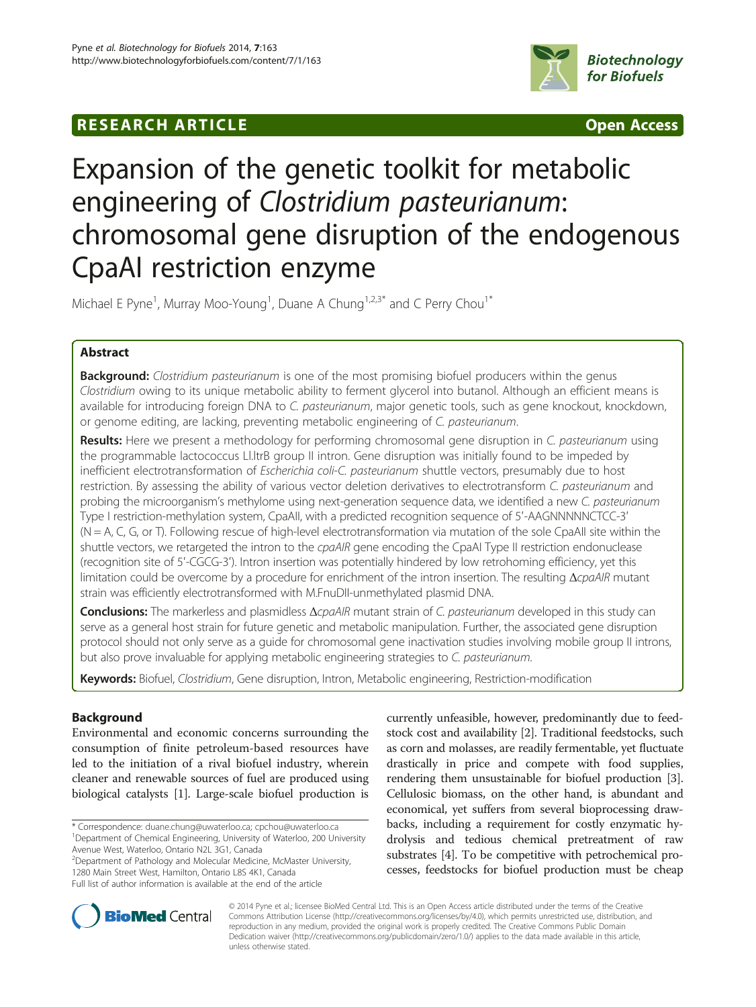# **RESEARCH ARTICLE Example 2014 CONSIDERING CONSIDERING CONSIDERING CONSIDERING CONSIDERING CONSIDERING CONSIDERING CONSIDERING CONSIDERING CONSIDERING CONSIDERING CONSIDERING CONSIDERING CONSIDERING CONSIDERING CONSIDE**



# Expansion of the genetic toolkit for metabolic engineering of Clostridium pasteurianum: chromosomal gene disruption of the endogenous CpaAI restriction enzyme

Michael E Pyne<sup>1</sup>, Murray Moo-Young<sup>1</sup>, Duane A Chung<sup>1,2,3\*</sup> and C Perry Chou<sup>1\*</sup>

# Abstract

**Background:** Clostridium pasteurianum is one of the most promising biofuel producers within the genus Clostridium owing to its unique metabolic ability to ferment glycerol into butanol. Although an efficient means is available for introducing foreign DNA to C. pasteurianum, major genetic tools, such as gene knockout, knockdown, or genome editing, are lacking, preventing metabolic engineering of C. pasteurianum.

Results: Here we present a methodology for performing chromosomal gene disruption in C. pasteurianum using the programmable lactococcus Ll.ltrB group II intron. Gene disruption was initially found to be impeded by inefficient electrotransformation of Escherichia coli-C. pasteurianum shuttle vectors, presumably due to host restriction. By assessing the ability of various vector deletion derivatives to electrotransform C. pasteurianum and probing the microorganism's methylome using next-generation sequence data, we identified a new C. pasteurianum Type I restriction-methylation system, CpaAII, with a predicted recognition sequence of 5′-AAGNNNNNCTCC-3′  $(N = A, C, G, o r T)$ . Following rescue of high-level electrotransformation via mutation of the sole CpaAII site within the shuttle vectors, we retargeted the intron to the cpaAIR gene encoding the CpaAI Type II restriction endonuclease (recognition site of 5′-CGCG-3′). Intron insertion was potentially hindered by low retrohoming efficiency, yet this limitation could be overcome by a procedure for enrichment of the intron insertion. The resulting ΔcpaAIR mutant strain was efficiently electrotransformed with M.FnuDII-unmethylated plasmid DNA.

Conclusions: The markerless and plasmidless ΔcpaAIR mutant strain of C. pasteurianum developed in this study can serve as a general host strain for future genetic and metabolic manipulation. Further, the associated gene disruption protocol should not only serve as a guide for chromosomal gene inactivation studies involving mobile group II introns, but also prove invaluable for applying metabolic engineering strategies to C. pasteurianum.

Keywords: Biofuel, Clostridium, Gene disruption, Intron, Metabolic engineering, Restriction-modification

# Background

Environmental and economic concerns surrounding the consumption of finite petroleum-based resources have led to the initiation of a rival biofuel industry, wherein cleaner and renewable sources of fuel are produced using biological catalysts [\[1\]](#page-13-0). Large-scale biofuel production is

\* Correspondence: [duane.chung@uwaterloo.ca](mailto:duane.chung@uwaterloo.ca); [cpchou@uwaterloo.ca](mailto:cpchou@uwaterloo.ca) <sup>1</sup> <sup>1</sup> Department of Chemical Engineering, University of Waterloo, 200 University Avenue West, Waterloo, Ontario N2L 3G1, Canada

<sup>2</sup> Department of Pathology and Molecular Medicine, McMaster University, 1280 Main Street West, Hamilton, Ontario L8S 4K1, Canada Full list of author information is available at the end of the article

currently unfeasible, however, predominantly due to feedstock cost and availability [\[2](#page-13-0)]. Traditional feedstocks, such as corn and molasses, are readily fermentable, yet fluctuate drastically in price and compete with food supplies, rendering them unsustainable for biofuel production [[3](#page-13-0)]. Cellulosic biomass, on the other hand, is abundant and economical, yet suffers from several bioprocessing drawbacks, including a requirement for costly enzymatic hydrolysis and tedious chemical pretreatment of raw substrates [[4](#page-13-0)]. To be competitive with petrochemical processes, feedstocks for biofuel production must be cheap



© 2014 Pyne et al.; licensee BioMed Central Ltd. This is an Open Access article distributed under the terms of the Creative Commons Attribution License [\(http://creativecommons.org/licenses/by/4.0\)](http://creativecommons.org/licenses/by/4.0), which permits unrestricted use, distribution, and reproduction in any medium, provided the original work is properly credited. The Creative Commons Public Domain Dedication waiver [\(http://creativecommons.org/publicdomain/zero/1.0/](http://creativecommons.org/publicdomain/zero/1.0/)) applies to the data made available in this article, unless otherwise stated.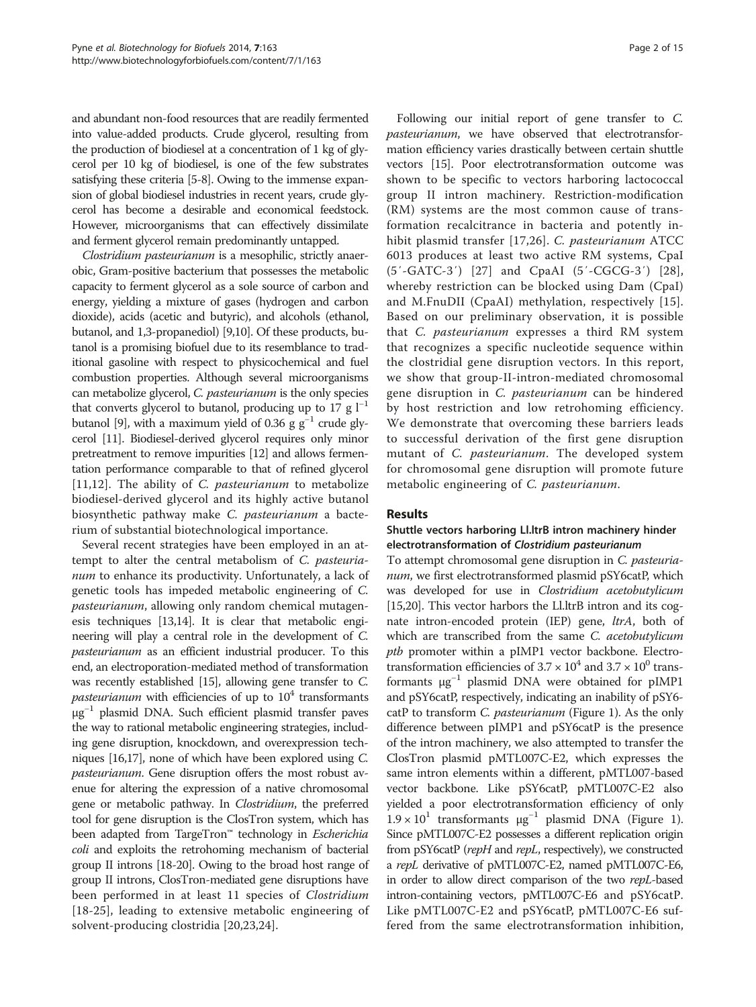and abundant non-food resources that are readily fermented into value-added products. Crude glycerol, resulting from the production of biodiesel at a concentration of 1 kg of glycerol per 10 kg of biodiesel, is one of the few substrates satisfying these criteria [[5](#page-13-0)-[8](#page-14-0)]. Owing to the immense expansion of global biodiesel industries in recent years, crude glycerol has become a desirable and economical feedstock. However, microorganisms that can effectively dissimilate and ferment glycerol remain predominantly untapped.

Clostridium pasteurianum is a mesophilic, strictly anaerobic, Gram-positive bacterium that possesses the metabolic capacity to ferment glycerol as a sole source of carbon and energy, yielding a mixture of gases (hydrogen and carbon dioxide), acids (acetic and butyric), and alcohols (ethanol, butanol, and 1,3-propanediol) [\[9,10](#page-14-0)]. Of these products, butanol is a promising biofuel due to its resemblance to traditional gasoline with respect to physicochemical and fuel combustion properties. Although several microorganisms can metabolize glycerol, C. pasteurianum is the only species that converts glycerol to butanol, producing up to 17 g  $l^{-1}$ butanol [[9](#page-14-0)], with a maximum yield of 0.36 g  $g^{-1}$  crude glycerol [[11\]](#page-14-0). Biodiesel-derived glycerol requires only minor pretreatment to remove impurities [\[12\]](#page-14-0) and allows fermentation performance comparable to that of refined glycerol [[11,12](#page-14-0)]. The ability of *C. pasteurianum* to metabolize biodiesel-derived glycerol and its highly active butanol biosynthetic pathway make C. pasteurianum a bacterium of substantial biotechnological importance.

Several recent strategies have been employed in an attempt to alter the central metabolism of C. pasteurianum to enhance its productivity. Unfortunately, a lack of genetic tools has impeded metabolic engineering of C. pasteurianum, allowing only random chemical mutagenesis techniques [[13,14](#page-14-0)]. It is clear that metabolic engineering will play a central role in the development of C. pasteurianum as an efficient industrial producer. To this end, an electroporation-mediated method of transformation was recently established [[15](#page-14-0)], allowing gene transfer to C. *pasteurianum* with efficiencies of up to  $10<sup>4</sup>$  transformants μg−<sup>1</sup> plasmid DNA. Such efficient plasmid transfer paves the way to rational metabolic engineering strategies, including gene disruption, knockdown, and overexpression techniques [\[16,17](#page-14-0)], none of which have been explored using C. pasteurianum. Gene disruption offers the most robust avenue for altering the expression of a native chromosomal gene or metabolic pathway. In *Clostridium*, the preferred tool for gene disruption is the ClosTron system, which has been adapted from TargeTron™ technology in *Escherichia* coli and exploits the retrohoming mechanism of bacterial group II introns [\[18-20](#page-14-0)]. Owing to the broad host range of group II introns, ClosTron-mediated gene disruptions have been performed in at least 11 species of *Clostridium* [[18-25\]](#page-14-0), leading to extensive metabolic engineering of solvent-producing clostridia [\[20](#page-14-0),[23,24\]](#page-14-0).

Following our initial report of gene transfer to C. pasteurianum, we have observed that electrotransformation efficiency varies drastically between certain shuttle vectors [[15](#page-14-0)]. Poor electrotransformation outcome was shown to be specific to vectors harboring lactococcal group II intron machinery. Restriction-modification (RM) systems are the most common cause of transformation recalcitrance in bacteria and potently inhibit plasmid transfer [[17,26](#page-14-0)]. C. pasteurianum ATCC 6013 produces at least two active RM systems, CpaI (5′-GATC-3′) [[27\]](#page-14-0) and CpaAI (5′-CGCG-3′) [[28](#page-14-0)], whereby restriction can be blocked using Dam (CpaI) and M.FnuDII (CpaAI) methylation, respectively [[15](#page-14-0)]. Based on our preliminary observation, it is possible that C. pasteurianum expresses a third RM system that recognizes a specific nucleotide sequence within the clostridial gene disruption vectors. In this report, we show that group-II-intron-mediated chromosomal gene disruption in C. pasteurianum can be hindered by host restriction and low retrohoming efficiency. We demonstrate that overcoming these barriers leads to successful derivation of the first gene disruption mutant of C. *pasteurianum*. The developed system for chromosomal gene disruption will promote future metabolic engineering of C. pasteurianum.

# Results

# Shuttle vectors harboring Ll.ltrB intron machinery hinder electrotransformation of Clostridium pasteurianum

To attempt chromosomal gene disruption in C. pasteurianum, we first electrotransformed plasmid pSY6catP, which was developed for use in Clostridium acetobutylicum [[15,20](#page-14-0)]. This vector harbors the Ll.ltrB intron and its cognate intron-encoded protein (IEP) gene, *ltrA*, both of which are transcribed from the same C. acetobutylicum ptb promoter within a pIMP1 vector backbone. Electrotransformation efficiencies of  $3.7 \times 10^4$  and  $3.7 \times 10^0$  transformants μg−<sup>1</sup> plasmid DNA were obtained for pIMP1 and pSY6catP, respectively, indicating an inability of pSY6 catP to transform *C. pasteurianum* (Figure [1](#page-2-0)). As the only difference between pIMP1 and pSY6catP is the presence of the intron machinery, we also attempted to transfer the ClosTron plasmid pMTL007C-E2, which expresses the same intron elements within a different, pMTL007-based vector backbone. Like pSY6catP, pMTL007C-E2 also yielded a poor electrotransformation efficiency of only  $1.9 \times 10^{1}$  $1.9 \times 10^{1}$  $1.9 \times 10^{1}$  transformants  $\mu g^{-1}$  plasmid DNA (Figure 1). Since pMTL007C-E2 possesses a different replication origin from pSY6catP (repH and repL, respectively), we constructed a repL derivative of pMTL007C-E2, named pMTL007C-E6, in order to allow direct comparison of the two repL-based intron-containing vectors, pMTL007C-E6 and pSY6catP. Like pMTL007C-E2 and pSY6catP, pMTL007C-E6 suffered from the same electrotransformation inhibition,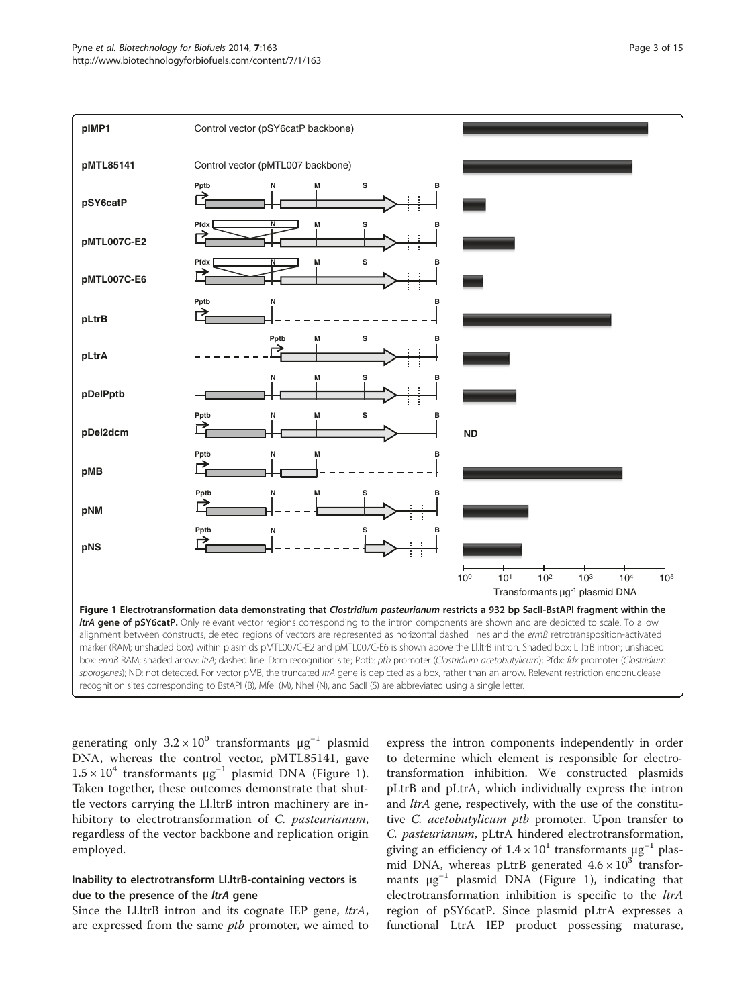<span id="page-2-0"></span>

generating only  $3.2 \times 10^{0}$  transformants  $\mu g^{-1}$  plasmid DNA, whereas the control vector, pMTL85141, gave  $1.5 \times 10^4$  transformants  $\mu$ g<sup>-1</sup> plasmid DNA (Figure 1). Taken together, these outcomes demonstrate that shuttle vectors carrying the Ll.ltrB intron machinery are inhibitory to electrotransformation of C. pasteurianum, regardless of the vector backbone and replication origin employed.

# Inability to electrotransform Ll.ltrB-containing vectors is due to the presence of the *ltrA* gene

Since the Ll.ltrB intron and its cognate IEP gene, *ltrA*, are expressed from the same *ptb* promoter, we aimed to

express the intron components independently in order to determine which element is responsible for electrotransformation inhibition. We constructed plasmids pLtrB and pLtrA, which individually express the intron and *ltrA* gene, respectively, with the use of the constitutive C. acetobutylicum ptb promoter. Upon transfer to C. pasteurianum, pLtrA hindered electrotransformation, giving an efficiency of  $1.4 \times 10^1$  transformants  $\mu$ g<sup>-1</sup> plasmid DNA, whereas pLtrB generated  $4.6 \times 10^3$  transformants  $\mu g^{-1}$  plasmid DNA (Figure 1), indicating that electrotransformation inhibition is specific to the *ltrA* region of pSY6catP. Since plasmid pLtrA expresses a functional LtrA IEP product possessing maturase,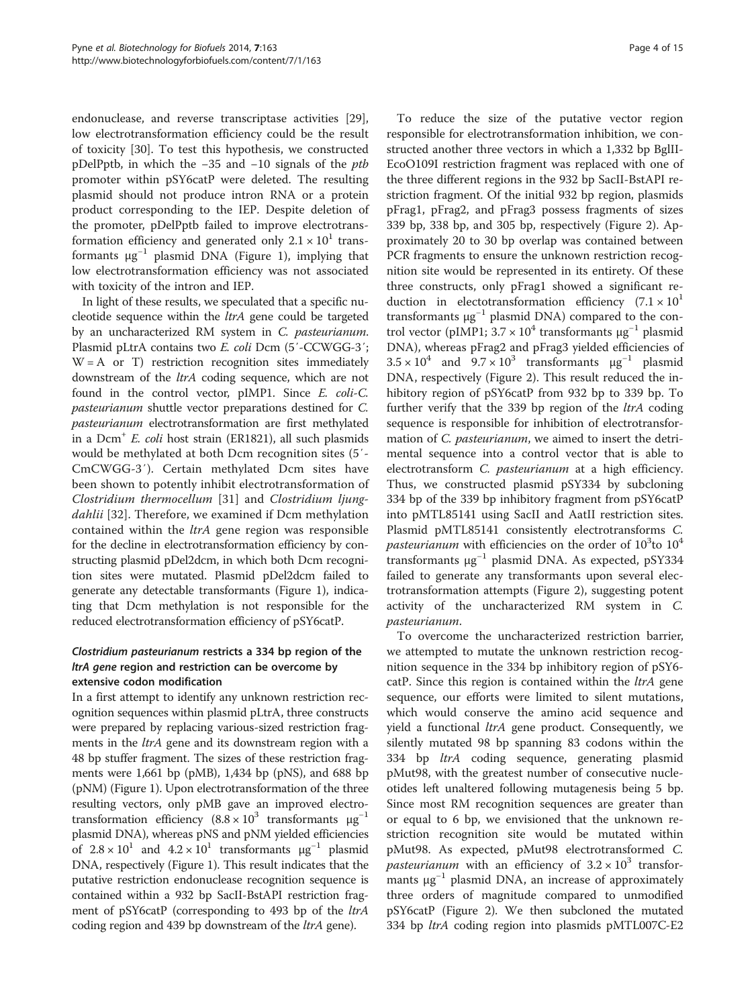endonuclease, and reverse transcriptase activities [\[29](#page-14-0)], low electrotransformation efficiency could be the result of toxicity [[30\]](#page-14-0). To test this hypothesis, we constructed pDelPptb, in which the  $-35$  and  $-10$  signals of the *ptb* promoter within pSY6catP were deleted. The resulting plasmid should not produce intron RNA or a protein product corresponding to the IEP. Despite deletion of the promoter, pDelPptb failed to improve electrotransformation efficiency and generated only  $2.1 \times 10^{1}$  transformants  $\mu$ g<sup>-1</sup> plasmid DNA (Figure [1\)](#page-2-0), implying that low electrotransformation efficiency was not associated with toxicity of the intron and IEP.

In light of these results, we speculated that a specific nucleotide sequence within the ltrA gene could be targeted by an uncharacterized RM system in C. pasteurianum. Plasmid pLtrA contains two E. coli Dcm (5′-CCWGG-3′;  $W = A$  or T) restriction recognition sites immediately downstream of the *ltrA* coding sequence, which are not found in the control vector, pIMP1. Since E. coli-C. pasteurianum shuttle vector preparations destined for C. pasteurianum electrotransformation are first methylated in a  $Dom<sup>+</sup> E.$  *coli* host strain (ER1821), all such plasmids would be methylated at both Dcm recognition sites (5′- CmCWGG-3′). Certain methylated Dcm sites have been shown to potently inhibit electrotransformation of Clostridium thermocellum [\[31](#page-14-0)] and Clostridium ljung-dahlii [[32\]](#page-14-0). Therefore, we examined if Dcm methylation contained within the *ltrA* gene region was responsible for the decline in electrotransformation efficiency by constructing plasmid pDel2dcm, in which both Dcm recognition sites were mutated. Plasmid pDel2dcm failed to generate any detectable transformants (Figure [1\)](#page-2-0), indicating that Dcm methylation is not responsible for the reduced electrotransformation efficiency of pSY6catP.

# Clostridium pasteurianum restricts a 334 bp region of the ltrA gene region and restriction can be overcome by extensive codon modification

In a first attempt to identify any unknown restriction recognition sequences within plasmid pLtrA, three constructs were prepared by replacing various-sized restriction fragments in the ltrA gene and its downstream region with a 48 bp stuffer fragment. The sizes of these restriction fragments were  $1,661$  bp (pMB),  $1,434$  bp (pNS), and 688 bp (pNM) (Figure [1\)](#page-2-0). Upon electrotransformation of the three resulting vectors, only pMB gave an improved electrotransformation efficiency (8.8 ×  $10<sup>3</sup>$  transformants  $μg<sup>-1</sup>$ plasmid DNA), whereas pNS and pNM yielded efficiencies of  $2.8 \times 10^{1}$  and  $4.2 \times 10^{1}$  transformants  $\mu g^{-1}$  plasmid DNA, respectively (Figure [1](#page-2-0)). This result indicates that the putative restriction endonuclease recognition sequence is contained within a 932 bp SacII-BstAPI restriction fragment of pSY6catP (corresponding to 493 bp of the *ltrA* coding region and 439 bp downstream of the ltrA gene).

To reduce the size of the putative vector region responsible for electrotransformation inhibition, we constructed another three vectors in which a 1,332 bp BglII-EcoO109I restriction fragment was replaced with one of the three different regions in the 932 bp SacII-BstAPI restriction fragment. Of the initial 932 bp region, plasmids pFrag1, pFrag2, and pFrag3 possess fragments of sizes 339 bp, 338 bp, and 305 bp, respectively (Figure [2](#page-4-0)). Approximately 20 to 30 bp overlap was contained between PCR fragments to ensure the unknown restriction recognition site would be represented in its entirety. Of these three constructs, only pFrag1 showed a significant reduction in electotransformation efficiency  $(7.1 \times 10^{1}$ transformants  $\mu$ g<sup>-1</sup> plasmid DNA) compared to the control vector (pIMP1;  $3.7 \times 10^4$  transformants  $\mu$ g<sup>-1</sup> plasmid DNA), whereas pFrag2 and pFrag3 yielded efficiencies of  $3.5 \times 10^4$  and  $9.7 \times 10^3$  transformants  $\mu$ g<sup>-1</sup> plasmid DNA, respectively (Figure [2\)](#page-4-0). This result reduced the inhibitory region of pSY6catP from 932 bp to 339 bp. To further verify that the 339 bp region of the *ltrA* coding sequence is responsible for inhibition of electrotransformation of *C. pasteurianum*, we aimed to insert the detrimental sequence into a control vector that is able to electrotransform C. pasteurianum at a high efficiency. Thus, we constructed plasmid pSY334 by subcloning 334 bp of the 339 bp inhibitory fragment from pSY6catP into pMTL85141 using SacII and AatII restriction sites. Plasmid pMTL85141 consistently electrotransforms C. pasteurianum with efficiencies on the order of  $10^3$ to  $10^4$ transformants  $\mu$ g<sup>-1</sup> plasmid DNA. As expected, pSY334 failed to generate any transformants upon several electrotransformation attempts (Figure [2](#page-4-0)), suggesting potent activity of the uncharacterized RM system in C. pasteurianum.

To overcome the uncharacterized restriction barrier, we attempted to mutate the unknown restriction recognition sequence in the 334 bp inhibitory region of pSY6 catP. Since this region is contained within the ltrA gene sequence, our efforts were limited to silent mutations, which would conserve the amino acid sequence and yield a functional *ltrA* gene product. Consequently, we silently mutated 98 bp spanning 83 codons within the 334 bp ltrA coding sequence, generating plasmid pMut98, with the greatest number of consecutive nucleotides left unaltered following mutagenesis being 5 bp. Since most RM recognition sequences are greater than or equal to 6 bp, we envisioned that the unknown restriction recognition site would be mutated within pMut98. As expected, pMut98 electrotransformed C. *pasteurianum* with an efficiency of  $3.2 \times 10^3$  transformants  $\mu$ g<sup>-1</sup> plasmid DNA, an increase of approximately three orders of magnitude compared to unmodified pSY6catP (Figure [2](#page-4-0)). We then subcloned the mutated 334 bp ltrA coding region into plasmids pMTL007C-E2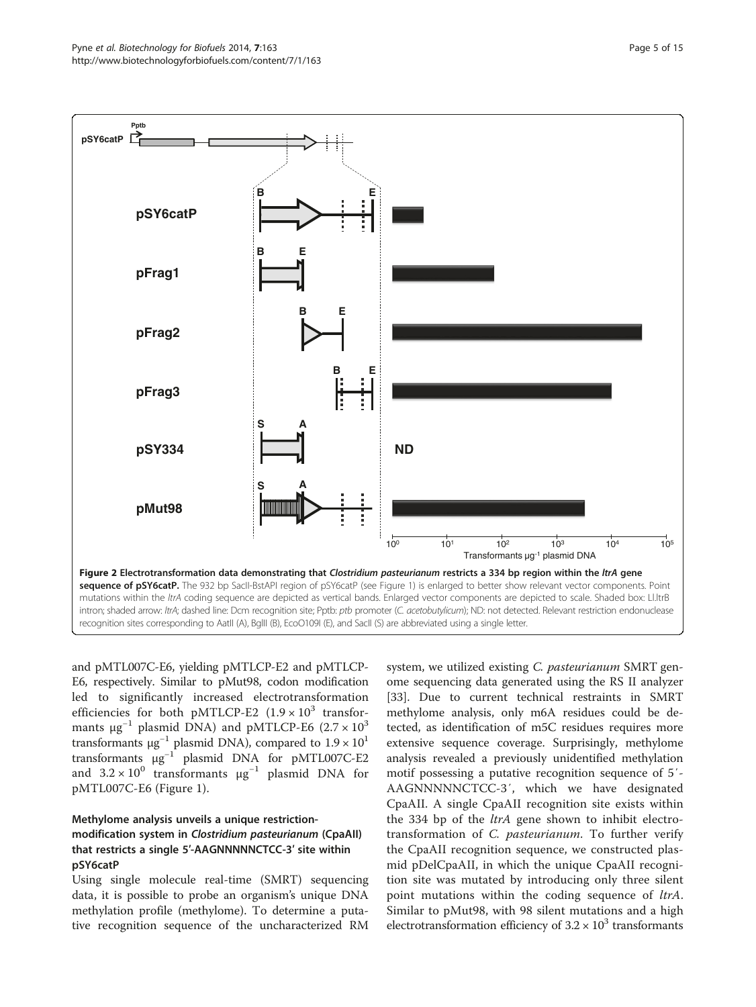<span id="page-4-0"></span>

and pMTL007C-E6, yielding pMTLCP-E2 and pMTLCP-E6, respectively. Similar to pMut98, codon modification led to significantly increased electrotransformation efficiencies for both pMTLCP-E2  $(1.9 \times 10^3$  transformants  $\mu$ g<sup>-1</sup> plasmid DNA) and pMTLCP-E6 (2.7 × 10<sup>3</sup> transformants  $\mu$ g<sup>-1</sup> plasmid DNA), compared to  $1.9 \times 10^{11}$ transformants μg−<sup>1</sup> plasmid DNA for pMTL007C-E2 and  $3.2 \times 10^0$  transformants  $\mu$ g<sup>-1</sup> plasmid DNA for pMTL007C-E6 (Figure [1](#page-2-0)).

## Methylome analysis unveils a unique restrictionmodification system in Clostridium pasteurianum (CpaAII) that restricts a single 5′-AAGNNNNNCTCC-3′ site within pSY6catP

Using single molecule real-time (SMRT) sequencing data, it is possible to probe an organism's unique DNA methylation profile (methylome). To determine a putative recognition sequence of the uncharacterized RM

system, we utilized existing C. *pasteurianum* SMRT genome sequencing data generated using the RS II analyzer [[33\]](#page-14-0). Due to current technical restraints in SMRT methylome analysis, only m6A residues could be detected, as identification of m5C residues requires more extensive sequence coverage. Surprisingly, methylome analysis revealed a previously unidentified methylation motif possessing a putative recognition sequence of 5′- AAGNNNNNCTCC-3′, which we have designated CpaAII. A single CpaAII recognition site exists within the 334 bp of the *ltrA* gene shown to inhibit electrotransformation of C. pasteurianum. To further verify the CpaAII recognition sequence, we constructed plasmid pDelCpaAII, in which the unique CpaAII recognition site was mutated by introducing only three silent point mutations within the coding sequence of *ltrA*. Similar to pMut98, with 98 silent mutations and a high electrotransformation efficiency of  $3.2 \times 10^3$  transformants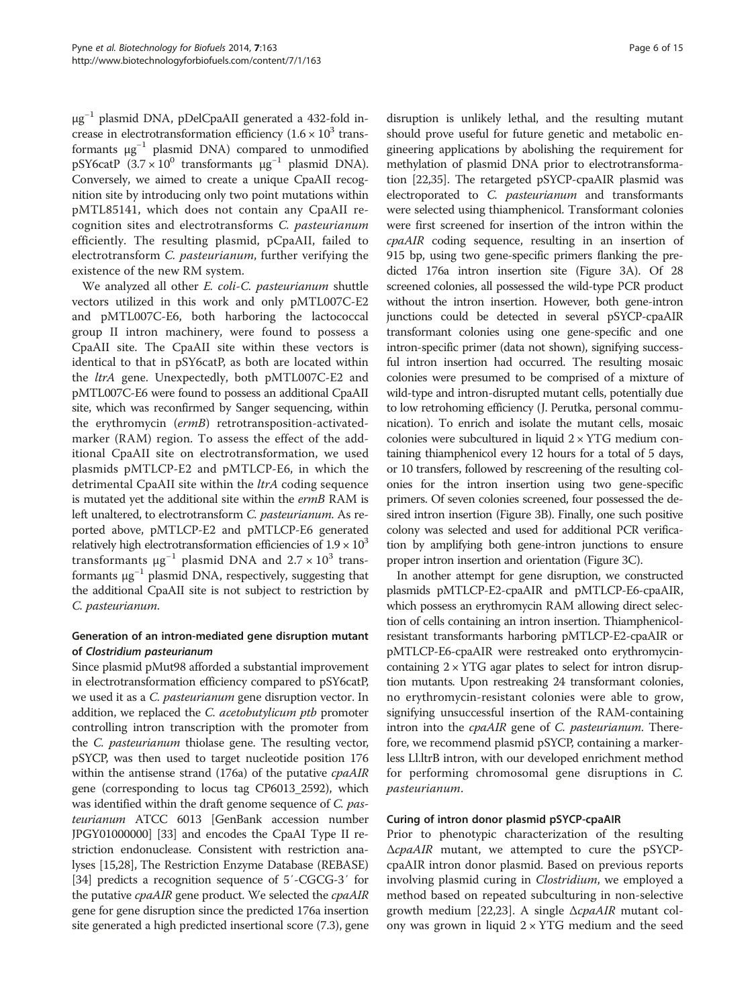μg−<sup>1</sup> plasmid DNA, pDelCpaAII generated a 432-fold increase in electrotransformation efficiency  $(1.6 \times 10^3$  transformants  $\mu g^{-1}$  plasmid DNA) compared to unmodified pSY6catP (3.7 × 10<sup>0</sup> transformants  $\mu$ g<sup>-1</sup> plasmid DNA). Conversely, we aimed to create a unique CpaAII recognition site by introducing only two point mutations within pMTL85141, which does not contain any CpaAII recognition sites and electrotransforms C. pasteurianum efficiently. The resulting plasmid, pCpaAII, failed to electrotransform C. pasteurianum, further verifying the existence of the new RM system.

We analyzed all other E. coli-C. pasteurianum shuttle vectors utilized in this work and only pMTL007C-E2 and pMTL007C-E6, both harboring the lactococcal group II intron machinery, were found to possess a CpaAII site. The CpaAII site within these vectors is identical to that in pSY6catP, as both are located within the *ltrA* gene. Unexpectedly, both pMTL007C-E2 and pMTL007C-E6 were found to possess an additional CpaAII site, which was reconfirmed by Sanger sequencing, within the erythromycin (ermB) retrotransposition-activatedmarker (RAM) region. To assess the effect of the additional CpaAII site on electrotransformation, we used plasmids pMTLCP-E2 and pMTLCP-E6, in which the detrimental CpaAII site within the *ltrA* coding sequence is mutated yet the additional site within the ermB RAM is left unaltered, to electrotransform C. pasteurianum. As reported above, pMTLCP-E2 and pMTLCP-E6 generated relatively high electrotransformation efficiencies of  $1.9 \times 10^3$ transformants  $\mu$ g<sup>-1</sup> plasmid DNA and 2.7 × 10<sup>3</sup> transformants  $\mu$ g<sup>-1</sup> plasmid DNA, respectively, suggesting that the additional CpaAII site is not subject to restriction by C. pasteurianum.

### Generation of an intron-mediated gene disruption mutant of Clostridium pasteurianum

Since plasmid pMut98 afforded a substantial improvement in electrotransformation efficiency compared to pSY6catP, we used it as a *C. pasteurianum* gene disruption vector. In addition, we replaced the *C. acetobutylicum ptb* promoter controlling intron transcription with the promoter from the C. pasteurianum thiolase gene. The resulting vector, pSYCP, was then used to target nucleotide position 176 within the antisense strand (176a) of the putative *cpaAIR* gene (corresponding to locus tag CP6013\_2592), which was identified within the draft genome sequence of C. pasteurianum ATCC 6013 [GenBank accession number JPGY01000000] [[33](#page-14-0)] and encodes the CpaAI Type II restriction endonuclease. Consistent with restriction analyses [\[15,28\]](#page-14-0), The Restriction Enzyme Database (REBASE) [[34](#page-14-0)] predicts a recognition sequence of 5′-CGCG-3′ for the putative *cpaAIR* gene product. We selected the *cpaAIR* gene for gene disruption since the predicted 176a insertion site generated a high predicted insertional score (7.3), gene

disruption is unlikely lethal, and the resulting mutant should prove useful for future genetic and metabolic engineering applications by abolishing the requirement for methylation of plasmid DNA prior to electrotransformation [[22](#page-14-0),[35](#page-14-0)]. The retargeted pSYCP-cpaAIR plasmid was electroporated to C. *pasteurianum* and transformants were selected using thiamphenicol. Transformant colonies were first screened for insertion of the intron within the cpaAIR coding sequence, resulting in an insertion of 915 bp, using two gene-specific primers flanking the predicted 176a intron insertion site (Figure [3](#page-6-0)A). Of 28 screened colonies, all possessed the wild-type PCR product without the intron insertion. However, both gene-intron junctions could be detected in several pSYCP-cpaAIR transformant colonies using one gene-specific and one intron-specific primer (data not shown), signifying successful intron insertion had occurred. The resulting mosaic colonies were presumed to be comprised of a mixture of wild-type and intron-disrupted mutant cells, potentially due to low retrohoming efficiency (J. Perutka, personal communication). To enrich and isolate the mutant cells, mosaic colonies were subcultured in liquid  $2 \times YTG$  medium containing thiamphenicol every 12 hours for a total of 5 days, or 10 transfers, followed by rescreening of the resulting colonies for the intron insertion using two gene-specific primers. Of seven colonies screened, four possessed the desired intron insertion (Figure [3](#page-6-0)B). Finally, one such positive colony was selected and used for additional PCR verification by amplifying both gene-intron junctions to ensure proper intron insertion and orientation (Figure [3C](#page-6-0)).

In another attempt for gene disruption, we constructed plasmids pMTLCP-E2-cpaAIR and pMTLCP-E6-cpaAIR, which possess an erythromycin RAM allowing direct selection of cells containing an intron insertion. Thiamphenicolresistant transformants harboring pMTLCP-E2-cpaAIR or pMTLCP-E6-cpaAIR were restreaked onto erythromycincontaining  $2 \times YTG$  agar plates to select for intron disruption mutants. Upon restreaking 24 transformant colonies, no erythromycin-resistant colonies were able to grow, signifying unsuccessful insertion of the RAM-containing intron into the *cpaAIR* gene of *C. pasteurianum*. Therefore, we recommend plasmid pSYCP, containing a markerless Ll.ltrB intron, with our developed enrichment method for performing chromosomal gene disruptions in C. pasteurianum.

#### Curing of intron donor plasmid pSYCP-cpaAIR

Prior to phenotypic characterization of the resulting ΔcpaAIR mutant, we attempted to cure the pSYCPcpaAIR intron donor plasmid. Based on previous reports involving plasmid curing in *Clostridium*, we employed a method based on repeated subculturing in non-selective growth medium [[22,23\]](#page-14-0). A single ΔcpaAIR mutant colony was grown in liquid  $2 \times YTG$  medium and the seed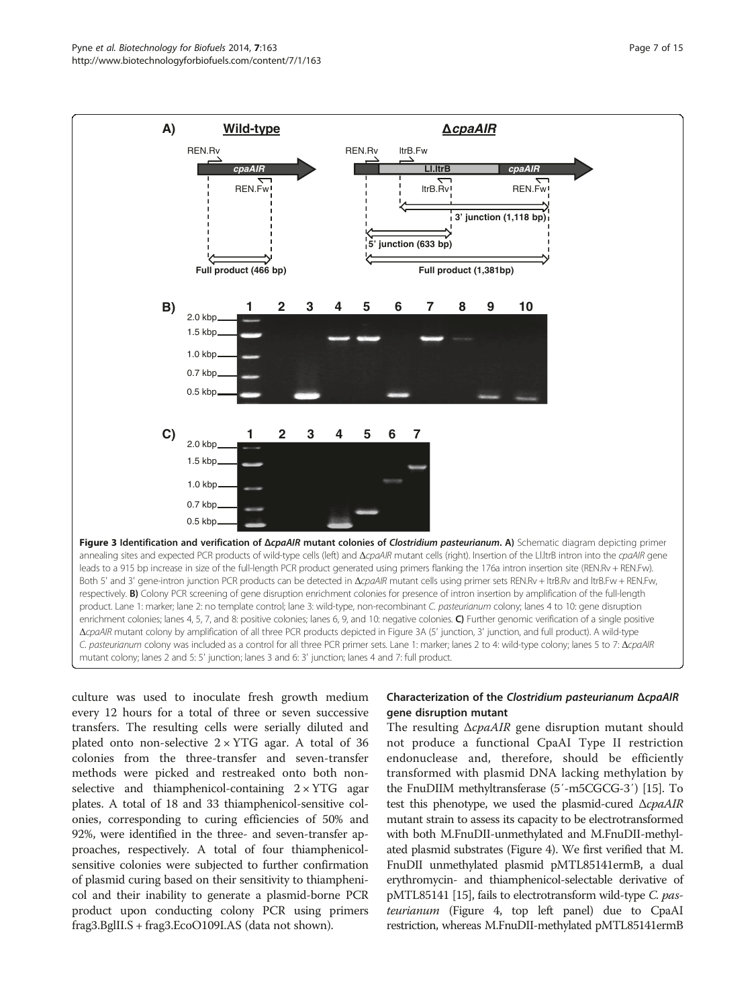<span id="page-6-0"></span>

enrichment colonies; lanes 4, 5, 7, and 8: positive colonies; lanes 6, 9, and 10: negative colonies. C) Further genomic verification of a single positive ΔcpaAIR mutant colony by amplification of all three PCR products depicted in Figure 3A (5′ junction, 3′ junction, and full product). A wild-type C. pasteurianum colony was included as a control for all three PCR primer sets. Lane 1: marker; lanes 2 to 4: wild-type colony; lanes 5 to 7: ΔcpaAIR mutant colony; lanes 2 and 5: 5′ junction; lanes 3 and 6: 3′ junction; lanes 4 and 7: full product.

culture was used to inoculate fresh growth medium every 12 hours for a total of three or seven successive transfers. The resulting cells were serially diluted and plated onto non-selective  $2 \times YTG$  agar. A total of 36 colonies from the three-transfer and seven-transfer methods were picked and restreaked onto both nonselective and thiamphenicol-containing  $2 \times YTG$  agar plates. A total of 18 and 33 thiamphenicol-sensitive colonies, corresponding to curing efficiencies of 50% and 92%, were identified in the three- and seven-transfer approaches, respectively. A total of four thiamphenicolsensitive colonies were subjected to further confirmation of plasmid curing based on their sensitivity to thiamphenicol and their inability to generate a plasmid-borne PCR product upon conducting colony PCR using primers frag3.BglII.S + frag3.EcoO109I.AS (data not shown).

# Characterization of the Clostridium pasteurianum ΔcpaAIR gene disruption mutant

The resulting ΔcpaAIR gene disruption mutant should not produce a functional CpaAI Type II restriction endonuclease and, therefore, should be efficiently transformed with plasmid DNA lacking methylation by the FnuDIIM methyltransferase (5′-m5CGCG-3′) [\[15\]](#page-14-0). To test this phenotype, we used the plasmid-cured  $\Delta cpaAIR$ mutant strain to assess its capacity to be electrotransformed with both M.FnuDII-unmethylated and M.FnuDII-methylated plasmid substrates (Figure [4\)](#page-7-0). We first verified that M. FnuDII unmethylated plasmid pMTL85141ermB, a dual erythromycin- and thiamphenicol-selectable derivative of pMTL85141 [\[15\]](#page-14-0), fails to electrotransform wild-type C. pasteurianum (Figure [4,](#page-7-0) top left panel) due to CpaAI restriction, whereas M.FnuDII-methylated pMTL85141ermB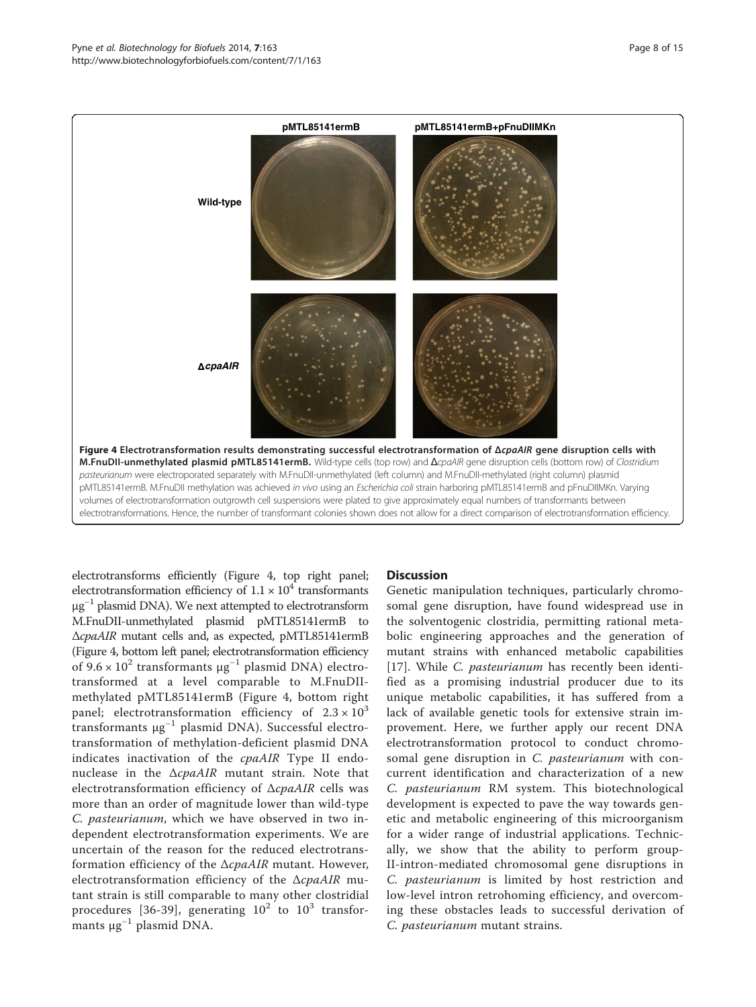<span id="page-7-0"></span>

electrotransforms efficiently (Figure 4, top right panel; electrotransformation efficiency of  $1.1 \times 10^4$  transformants  $μg<sup>-1</sup>$  plasmid DNA). We next attempted to electrotransform M.FnuDII-unmethylated plasmid pMTL85141ermB to ΔcpaAIR mutant cells and, as expected, pMTL85141ermB (Figure 4, bottom left panel; electrotransformation efficiency of  $9.6 \times 10^2$  transformants  $\mu$ g<sup>-1</sup> plasmid DNA) electrotransformed at a level comparable to M.FnuDIImethylated pMTL85141ermB (Figure 4, bottom right panel; electrotransformation efficiency of  $2.3 \times 10^3$ transformants  $\mu$ g<sup>-1</sup> plasmid DNA). Successful electrotransformation of methylation-deficient plasmid DNA indicates inactivation of the cpaAIR Type II endonuclease in the  $\triangle \textit{cpaAIR}$  mutant strain. Note that electrotransformation efficiency of  $\triangle \textit{cpaAIR}$  cells was more than an order of magnitude lower than wild-type C. pasteurianum, which we have observed in two independent electrotransformation experiments. We are uncertain of the reason for the reduced electrotransformation efficiency of the  $\triangle \textit{cpaAIR}$  mutant. However, electrotransformation efficiency of the ΔcpaAIR mutant strain is still comparable to many other clostridial procedures [[36](#page-14-0)-[39](#page-14-0)], generating  $10^2$  to  $10^3$  transformants μg−<sup>1</sup> plasmid DNA.

#### **Discussion**

Genetic manipulation techniques, particularly chromosomal gene disruption, have found widespread use in the solventogenic clostridia, permitting rational metabolic engineering approaches and the generation of mutant strains with enhanced metabolic capabilities [[17](#page-14-0)]. While *C. pasteurianum* has recently been identified as a promising industrial producer due to its unique metabolic capabilities, it has suffered from a lack of available genetic tools for extensive strain improvement. Here, we further apply our recent DNA electrotransformation protocol to conduct chromosomal gene disruption in C. pasteurianum with concurrent identification and characterization of a new C. pasteurianum RM system. This biotechnological development is expected to pave the way towards genetic and metabolic engineering of this microorganism for a wider range of industrial applications. Technically, we show that the ability to perform group-II-intron-mediated chromosomal gene disruptions in C. pasteurianum is limited by host restriction and low-level intron retrohoming efficiency, and overcoming these obstacles leads to successful derivation of C. pasteurianum mutant strains.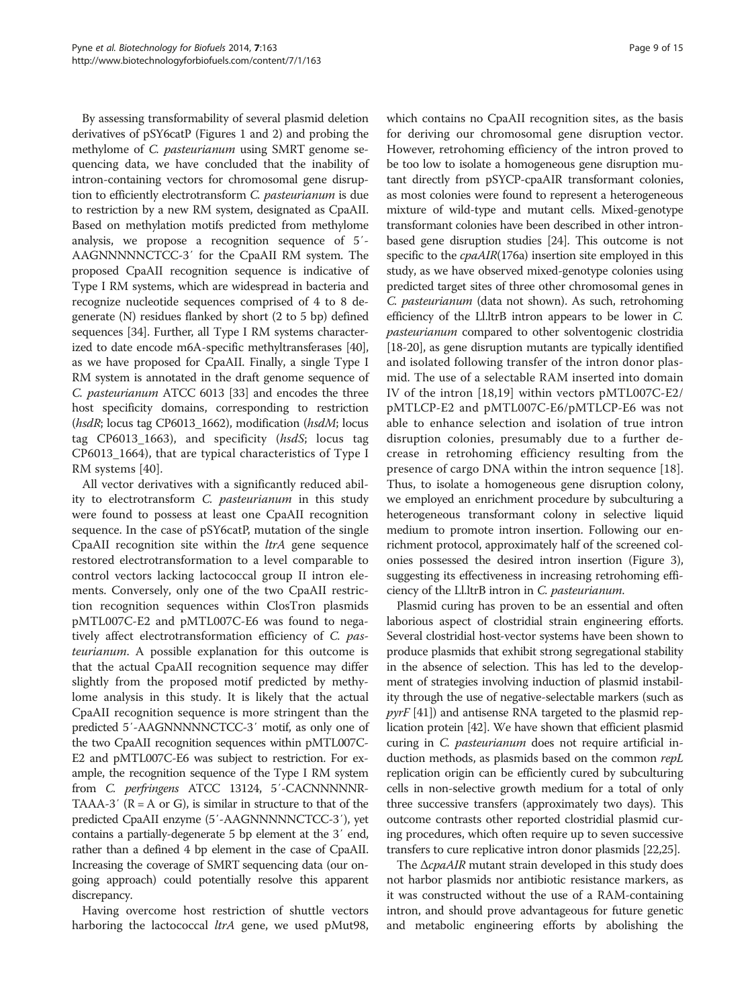By assessing transformability of several plasmid deletion derivatives of pSY6catP (Figures [1](#page-2-0) and [2\)](#page-4-0) and probing the methylome of C. pasteurianum using SMRT genome sequencing data, we have concluded that the inability of intron-containing vectors for chromosomal gene disruption to efficiently electrotransform C. pasteurianum is due to restriction by a new RM system, designated as CpaAII. Based on methylation motifs predicted from methylome analysis, we propose a recognition sequence of 5′- AAGNNNNNCTCC-3′ for the CpaAII RM system. The proposed CpaAII recognition sequence is indicative of Type I RM systems, which are widespread in bacteria and recognize nucleotide sequences comprised of 4 to 8 degenerate (N) residues flanked by short (2 to 5 bp) defined sequences [\[34\]](#page-14-0). Further, all Type I RM systems characterized to date encode m6A-specific methyltransferases [[40](#page-14-0)], as we have proposed for CpaAII. Finally, a single Type I RM system is annotated in the draft genome sequence of C. pasteurianum ATCC 6013 [\[33](#page-14-0)] and encodes the three host specificity domains, corresponding to restriction (hsdR; locus tag CP6013\_1662), modification (hsdM; locus tag CP6013\_1663), and specificity (hsdS; locus tag CP6013\_1664), that are typical characteristics of Type I RM systems [[40\]](#page-14-0).

All vector derivatives with a significantly reduced ability to electrotransform C. pasteurianum in this study were found to possess at least one CpaAII recognition sequence. In the case of pSY6catP, mutation of the single CpaAII recognition site within the *ltrA* gene sequence restored electrotransformation to a level comparable to control vectors lacking lactococcal group II intron elements. Conversely, only one of the two CpaAII restriction recognition sequences within ClosTron plasmids pMTL007C-E2 and pMTL007C-E6 was found to negatively affect electrotransformation efficiency of C. pasteurianum. A possible explanation for this outcome is that the actual CpaAII recognition sequence may differ slightly from the proposed motif predicted by methylome analysis in this study. It is likely that the actual CpaAII recognition sequence is more stringent than the predicted 5′-AAGNNNNNCTCC-3′ motif, as only one of the two CpaAII recognition sequences within pMTL007C-E2 and pMTL007C-E6 was subject to restriction. For example, the recognition sequence of the Type I RM system from C. perfringens ATCC 13124, 5'-CACNNNNNR-TAAA-3' ( $R = A$  or G), is similar in structure to that of the predicted CpaAII enzyme (5′-AAGNNNNNCTCC-3′), yet contains a partially-degenerate 5 bp element at the 3′ end, rather than a defined 4 bp element in the case of CpaAII. Increasing the coverage of SMRT sequencing data (our ongoing approach) could potentially resolve this apparent discrepancy.

Having overcome host restriction of shuttle vectors harboring the lactococcal *ltrA* gene, we used pMut98,

which contains no CpaAII recognition sites, as the basis for deriving our chromosomal gene disruption vector. However, retrohoming efficiency of the intron proved to be too low to isolate a homogeneous gene disruption mutant directly from pSYCP-cpaAIR transformant colonies, as most colonies were found to represent a heterogeneous mixture of wild-type and mutant cells. Mixed-genotype transformant colonies have been described in other intronbased gene disruption studies [\[24\]](#page-14-0). This outcome is not specific to the *cpaAIR*(176a) insertion site employed in this study, as we have observed mixed-genotype colonies using predicted target sites of three other chromosomal genes in C. pasteurianum (data not shown). As such, retrohoming efficiency of the Ll.ltrB intron appears to be lower in C. pasteurianum compared to other solventogenic clostridia [[18](#page-14-0)-[20](#page-14-0)], as gene disruption mutants are typically identified and isolated following transfer of the intron donor plasmid. The use of a selectable RAM inserted into domain IV of the intron [[18,19\]](#page-14-0) within vectors pMTL007C-E2/ pMTLCP-E2 and pMTL007C-E6/pMTLCP-E6 was not able to enhance selection and isolation of true intron disruption colonies, presumably due to a further decrease in retrohoming efficiency resulting from the presence of cargo DNA within the intron sequence [\[18](#page-14-0)]. Thus, to isolate a homogeneous gene disruption colony, we employed an enrichment procedure by subculturing a heterogeneous transformant colony in selective liquid medium to promote intron insertion. Following our enrichment protocol, approximately half of the screened colonies possessed the desired intron insertion (Figure [3](#page-6-0)), suggesting its effectiveness in increasing retrohoming efficiency of the Ll.ltrB intron in C. pasteurianum.

Plasmid curing has proven to be an essential and often laborious aspect of clostridial strain engineering efforts. Several clostridial host-vector systems have been shown to produce plasmids that exhibit strong segregational stability in the absence of selection. This has led to the development of strategies involving induction of plasmid instability through the use of negative-selectable markers (such as  $pyrF$  [\[41](#page-14-0)]) and antisense RNA targeted to the plasmid replication protein [\[42\]](#page-14-0). We have shown that efficient plasmid curing in C. *pasteurianum* does not require artificial induction methods, as plasmids based on the common repL replication origin can be efficiently cured by subculturing cells in non-selective growth medium for a total of only three successive transfers (approximately two days). This outcome contrasts other reported clostridial plasmid curing procedures, which often require up to seven successive transfers to cure replicative intron donor plasmids [[22,25\]](#page-14-0).

The ΔcpaAIR mutant strain developed in this study does not harbor plasmids nor antibiotic resistance markers, as it was constructed without the use of a RAM-containing intron, and should prove advantageous for future genetic and metabolic engineering efforts by abolishing the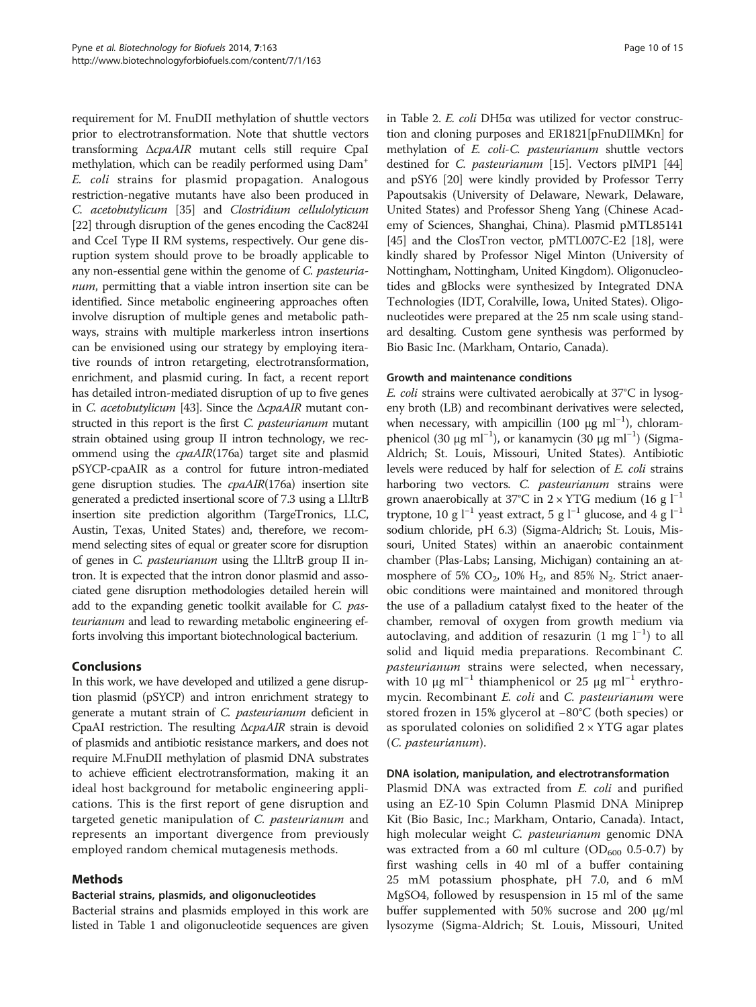requirement for M. FnuDII methylation of shuttle vectors prior to electrotransformation. Note that shuttle vectors transforming ΔcpaAIR mutant cells still require CpaI methylation, which can be readily performed using Dam+ E. coli strains for plasmid propagation. Analogous restriction-negative mutants have also been produced in C. acetobutylicum [\[35](#page-14-0)] and Clostridium cellulolyticum [[22](#page-14-0)] through disruption of the genes encoding the Cac824I and CceI Type II RM systems, respectively. Our gene disruption system should prove to be broadly applicable to any non-essential gene within the genome of C. pasteurianum, permitting that a viable intron insertion site can be identified. Since metabolic engineering approaches often involve disruption of multiple genes and metabolic pathways, strains with multiple markerless intron insertions can be envisioned using our strategy by employing iterative rounds of intron retargeting, electrotransformation, enrichment, and plasmid curing. In fact, a recent report has detailed intron-mediated disruption of up to five genes in C. acetobutylicum [\[43](#page-14-0)]. Since the  $\triangle$ cpaAIR mutant constructed in this report is the first C. pasteurianum mutant strain obtained using group II intron technology, we recommend using the cpaAIR(176a) target site and plasmid pSYCP-cpaAIR as a control for future intron-mediated gene disruption studies. The cpaAIR(176a) insertion site generated a predicted insertional score of 7.3 using a Ll.ltrB insertion site prediction algorithm (TargeTronics, LLC, Austin, Texas, United States) and, therefore, we recommend selecting sites of equal or greater score for disruption of genes in C. pasteurianum using the Ll.ltrB group II intron. It is expected that the intron donor plasmid and associated gene disruption methodologies detailed herein will add to the expanding genetic toolkit available for C. pasteurianum and lead to rewarding metabolic engineering efforts involving this important biotechnological bacterium.

#### Conclusions

In this work, we have developed and utilized a gene disruption plasmid (pSYCP) and intron enrichment strategy to generate a mutant strain of C. pasteurianum deficient in CpaAI restriction. The resulting ΔcpaAIR strain is devoid of plasmids and antibiotic resistance markers, and does not require M.FnuDII methylation of plasmid DNA substrates to achieve efficient electrotransformation, making it an ideal host background for metabolic engineering applications. This is the first report of gene disruption and targeted genetic manipulation of C. pasteurianum and represents an important divergence from previously employed random chemical mutagenesis methods.

# Methods

#### Bacterial strains, plasmids, and oligonucleotides

Bacterial strains and plasmids employed in this work are listed in Table [1](#page-10-0) and oligonucleotide sequences are given

in Table [2.](#page-11-0) E. coli DH5α was utilized for vector construction and cloning purposes and ER1821[pFnuDIIMKn] for methylation of E. coli-C. pasteurianum shuttle vectors destined for C. pasteurianum [[15](#page-14-0)]. Vectors pIMP1 [[44](#page-14-0)] and pSY6 [\[20\]](#page-14-0) were kindly provided by Professor Terry Papoutsakis (University of Delaware, Newark, Delaware, United States) and Professor Sheng Yang (Chinese Academy of Sciences, Shanghai, China). Plasmid pMTL85141 [[45](#page-14-0)] and the ClosTron vector, pMTL007C-E2 [[18](#page-14-0)], were kindly shared by Professor Nigel Minton (University of Nottingham, Nottingham, United Kingdom). Oligonucleotides and gBlocks were synthesized by Integrated DNA Technologies (IDT, Coralville, Iowa, United States). Oligonucleotides were prepared at the 25 nm scale using standard desalting. Custom gene synthesis was performed by Bio Basic Inc. (Markham, Ontario, Canada).

#### Growth and maintenance conditions

E. coli strains were cultivated aerobically at 37°C in lysogeny broth (LB) and recombinant derivatives were selected, when necessary, with ampicillin (100 μg ml<sup>-1</sup>), chloramphenicol (30 μg ml<sup>-1</sup>), or kanamycin (30 μg ml<sup>-1</sup>) (Sigma-Aldrich; St. Louis, Missouri, United States). Antibiotic levels were reduced by half for selection of E. coli strains harboring two vectors. C. pasteurianum strains were grown anaerobically at 37°C in 2 × YTG medium (16 g  $l^{-1}$ ) tryptone, 10 g  $l^{-1}$  yeast extract, 5 g  $l^{-1}$  glucose, and 4 g  $l^{-1}$ sodium chloride, pH 6.3) (Sigma-Aldrich; St. Louis, Missouri, United States) within an anaerobic containment chamber (Plas-Labs; Lansing, Michigan) containing an atmosphere of 5%  $CO_2$ , 10%  $H_2$ , and 85%  $N_2$ . Strict anaerobic conditions were maintained and monitored through the use of a palladium catalyst fixed to the heater of the chamber, removal of oxygen from growth medium via autoclaving, and addition of resazurin (1 mg l<sup>-1</sup>) to all solid and liquid media preparations. Recombinant C. pasteurianum strains were selected, when necessary, with 10 μg ml<sup>-1</sup> thiamphenicol or 25 μg ml<sup>-1</sup> erythromycin. Recombinant E. coli and C. pasteurianum were stored frozen in 15% glycerol at −80°C (both species) or as sporulated colonies on solidified  $2 \times YTG$  agar plates (C. pasteurianum).

#### DNA isolation, manipulation, and electrotransformation

Plasmid DNA was extracted from *E. coli* and purified using an EZ-10 Spin Column Plasmid DNA Miniprep Kit (Bio Basic, Inc.; Markham, Ontario, Canada). Intact, high molecular weight C. *pasteurianum* genomic DNA was extracted from a 60 ml culture (OD<sub>600</sub> 0.5-0.7) by first washing cells in 40 ml of a buffer containing 25 mM potassium phosphate, pH 7.0, and 6 mM MgSO4, followed by resuspension in 15 ml of the same buffer supplemented with 50% sucrose and 200 μg/ml lysozyme (Sigma-Aldrich; St. Louis, Missouri, United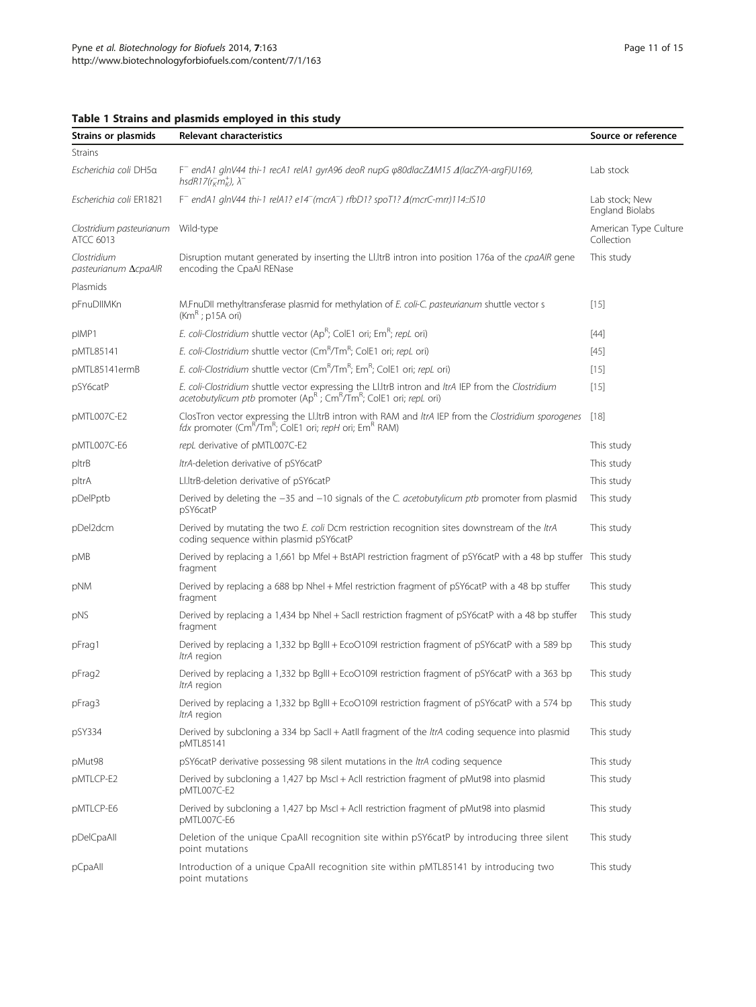| Strains or plasmids                          | Relevant characteristics                                                                                                                                                                                     | Source or reference                 |
|----------------------------------------------|--------------------------------------------------------------------------------------------------------------------------------------------------------------------------------------------------------------|-------------------------------------|
| <b>Strains</b>                               |                                                                                                                                                                                                              |                                     |
| Escherichia coli DH5a                        | $F^-$ endA1 glnV44 thi-1 recA1 relA1 gyrA96 deoR nupG $\varphi$ 80dlacZ $\varDelta$ M15 $\varDelta$ (lacZYA-argF)U169,<br>hsdR17( $r_K^-$ m $\star$ ), $\lambda^-$                                           | Lab stock                           |
| Escherichia coli ER1821                      | F <sup>-</sup> endA1 glnV44 thi-1 relA1? e14 <sup>-</sup> (mcrA <sup>-</sup> ) rfbD1? spoT1? $\Delta$ (mcrC-mrr)114::IS10                                                                                    |                                     |
| Clostridium pasteurianum<br><b>ATCC 6013</b> | Wild-type                                                                                                                                                                                                    | American Type Culture<br>Collection |
| Clostridium<br>pasteurianum AcpaAlR          | Disruption mutant generated by inserting the Ll.ltrB intron into position 176a of the cpaAlR gene<br>encoding the CpaAl RENase                                                                               | This study                          |
| Plasmids                                     |                                                                                                                                                                                                              |                                     |
| pFnuDIIMKn                                   | M.FnuDII methyltransferase plasmid for methylation of E. coli-C. pasteurianum shuttle vector s<br>$(KmR)$ ; p15A ori)                                                                                        | $[15]$                              |
| pIMP1                                        | E. coli-Clostridium shuttle vector (Ap <sup>R</sup> ; ColE1 ori; Em <sup>R</sup> ; repL ori)                                                                                                                 | [44]                                |
| pMTL85141                                    | E. coli-Clostridium shuttle vector (Cm <sup>R</sup> /Tm <sup>R</sup> ; ColE1 ori; repL ori)                                                                                                                  | $[45]$                              |
| pMTL85141ermB                                | E. coli-Clostridium shuttle vector (CmR/TmR; EmR; ColE1 ori; repL ori)                                                                                                                                       | $[15]$                              |
| pSY6catP                                     | E. coli-Clostridium shuttle vector expressing the Ll.ItrB intron and ItrA IEP from the Clostridium<br>acetobutylicum ptb promoter (Ap <sup>R</sup> ; Cm <sup>R</sup> /Tm <sup>R</sup> ; ColE1 ori; repL ori) |                                     |
| pMTL007C-E2                                  | ClosTron vector expressing the Ll.ItrB intron with RAM and ItrA IEP from the Clostridium sporogenes<br>fdx promoter (Cm <sup>R</sup> /Tm <sup>R</sup> ; ColE1 ori; repH ori; Em <sup>R</sup> RAM)            |                                     |
| pMTL007C-E6                                  | repL derivative of pMTL007C-E2                                                                                                                                                                               | This study                          |
| pltrB                                        | ItrA-deletion derivative of pSY6catP                                                                                                                                                                         | This study                          |
| pltrA                                        | Ll.ItrB-deletion derivative of pSY6catP                                                                                                                                                                      | This study                          |
| pDelPptb                                     | Derived by deleting the -35 and -10 signals of the C. acetobutylicum ptb promoter from plasmid<br>pSY6catP                                                                                                   | This study                          |
| pDel2dcm                                     | Derived by mutating the two E. coli Dcm restriction recognition sites downstream of the ItrA<br>coding sequence within plasmid pSY6catP                                                                      | This study                          |
| pMB                                          | Derived by replacing a 1,661 bp Mfel + BstAPI restriction fragment of pSY6catP with a 48 bp stuffer This study<br>fragment                                                                                   |                                     |
| pNM                                          | Derived by replacing a 688 bp Nhel + Mfel restriction fragment of pSY6catP with a 48 bp stuffer<br>fragment                                                                                                  | This study                          |
| pNS                                          | Derived by replacing a 1,434 bp Nhel + SacII restriction fragment of pSY6catP with a 48 bp stuffer<br>fragment                                                                                               | This study                          |
| pFrag1                                       | Derived by replacing a 1,332 bp BgIII + EcoO109I restriction fragment of pSY6catP with a 589 bp<br>ItrA region                                                                                               | This study                          |
| pFrag2                                       | Derived by replacing a 1,332 bp BgIII + EcoO109I restriction fragment of pSY6catP with a 363 bp<br>ItrA region                                                                                               | This study                          |
| pFrag3                                       | Derived by replacing a 1,332 bp Bglll + EcoO109I restriction fragment of pSY6catP with a 574 bp<br>ItrA region                                                                                               | This study                          |
| pSY334                                       | Derived by subcloning a 334 bp SacII + AatII fragment of the ItrA coding sequence into plasmid<br>pMTL85141                                                                                                  | This study                          |
| pMut98                                       | pSY6catP derivative possessing 98 silent mutations in the ltrA coding sequence                                                                                                                               | This study                          |
| pMTLCP-E2                                    | Derived by subcloning a 1,427 bp Mscl + Acll restriction fragment of pMut98 into plasmid<br>pMTL007C-E2                                                                                                      | This study                          |
| pMTLCP-E6                                    | Derived by subcloning a 1,427 bp Mscl + Acll restriction fragment of pMut98 into plasmid<br>pMTL007C-E6                                                                                                      | This study                          |
| pDelCpaAll                                   | Deletion of the unique CpaAll recognition site within pSY6catP by introducing three silent<br>point mutations                                                                                                | This study                          |
| pCpaAll                                      | Introduction of a unique CpaAll recognition site within pMTL85141 by introducing two<br>point mutations                                                                                                      | This study                          |

# <span id="page-10-0"></span>Table 1 Strains and plasmids employed in this study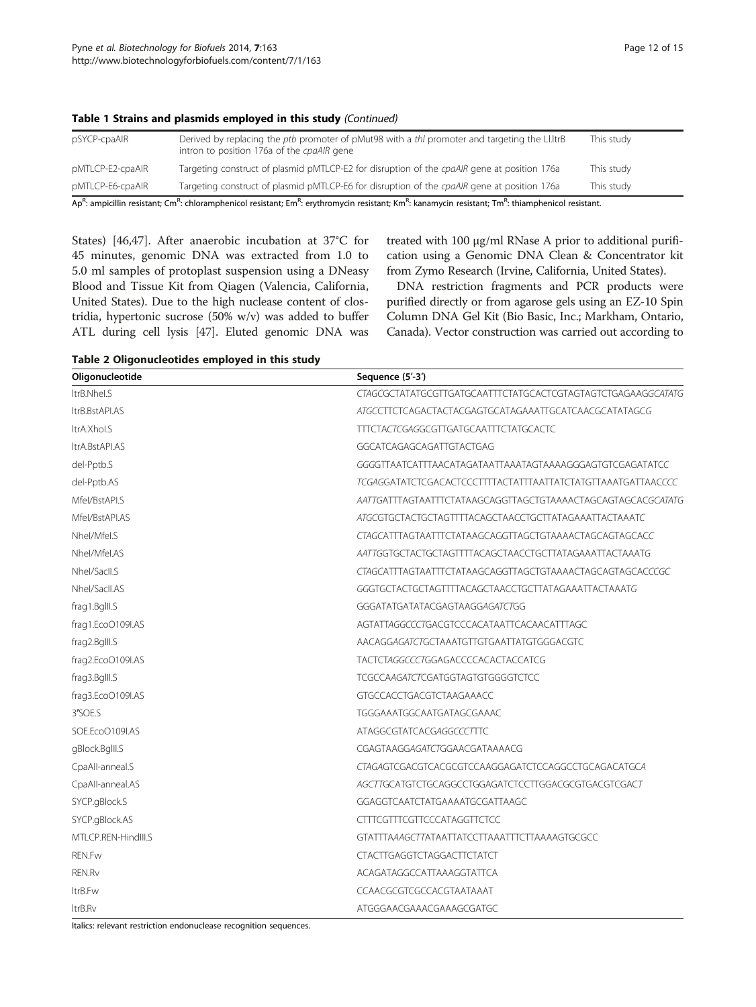| pSYCP-cpaAIR                                                                                                                                                                                                     | Derived by replacing the <i>ptb</i> promoter of pMut98 with a <i>thl</i> promoter and targeting the Ll.ltrB<br>intron to position 176a of the cpaAIR gene | This study |  |  |
|------------------------------------------------------------------------------------------------------------------------------------------------------------------------------------------------------------------|-----------------------------------------------------------------------------------------------------------------------------------------------------------|------------|--|--|
| pMTLCP-E2-cpaAlR                                                                                                                                                                                                 | Targeting construct of plasmid pMTLCP-E2 for disruption of the cpaAIR gene at position 176a                                                               | This study |  |  |
| pMTLCP-E6-cpaAIR                                                                                                                                                                                                 | Targeting construct of plasmid pMTLCP-E6 for disruption of the cpaAlR gene at position 176a                                                               | This study |  |  |
| Ap <sup>R</sup> : ampicillin resistant; Cm <sup>R</sup> : chloramphenicol resistant; Em <sup>R</sup> : erythromycin resistant; Km <sup>R</sup> : kanamycin resistant; Tm <sup>R</sup> : thiamphenicol resistant. |                                                                                                                                                           |            |  |  |

#### <span id="page-11-0"></span>Table 1 Strains and plasmids employed in this study (Continued)

States) [[46,47\]](#page-14-0). After anaerobic incubation at 37°C for 45 minutes, genomic DNA was extracted from 1.0 to 5.0 ml samples of protoplast suspension using a DNeasy Blood and Tissue Kit from Qiagen (Valencia, California, United States). Due to the high nuclease content of clostridia, hypertonic sucrose (50% w/v) was added to buffer ATL during cell lysis [\[47\]](#page-14-0). Eluted genomic DNA was treated with 100 μg/ml RNase A prior to additional purification using a Genomic DNA Clean & Concentrator kit from Zymo Research (Irvine, California, United States).

DNA restriction fragments and PCR products were purified directly or from agarose gels using an EZ-10 Spin Column DNA Gel Kit (Bio Basic, Inc.; Markham, Ontario, Canada). Vector construction was carried out according to

| Table 2 Oligonucleotides employed in this study |  |  |  |  |
|-------------------------------------------------|--|--|--|--|
|-------------------------------------------------|--|--|--|--|

| Oligonucleotide     | Sequence (5'-3')                                                    |  |  |  |
|---------------------|---------------------------------------------------------------------|--|--|--|
| ItrB.Nhel.S         | CTAGCGCTATATGCGTTGATGCAATTTCTATGCACTCGTAGTAGTCTGAGAAGGCATATG        |  |  |  |
| ItrB.BstAPI.AS      | <i>ATGCCTTCTCAGACTACTACGAGTGCATAGAAATTGCATCAACGCATATAGCG</i>        |  |  |  |
| ItrA.Xhol.S         | <b>TTTCTACTCGAGGCGTTGATGCAATTTCTATGCACTC</b>                        |  |  |  |
| ltrA.BstAPI.AS      | GGCATCAGAGCAGATTGTACTGAG                                            |  |  |  |
| del-Pptb.S          | GGGGTTAATCATTTAACATAGATAATTAAATAGTAAAAGGGAGTGTCGAGATATCC            |  |  |  |
| del-Pptb.AS         | <i>TCGAGGATATCTCGACACTCCCTTTTACTATTTAATTATCTATGTTAAATGATTAACCCC</i> |  |  |  |
| Mfel/BstAPI.S       | AATTGATTTAGTAATTTCTATAAGCAGGTTAGCTGTAAAACTAGCAGTAGCACGCATATG        |  |  |  |
| Mfel/BstAPI.AS      | ATGCGTGCTACTGCTAGTTTTACAGCTAACCTGCTTATAGAAATTACTAAATC               |  |  |  |
| Nhel/Mfel.S         | CTAGCATTTAGTAATTTCTATAAGCAGGTTAGCTGTAAAACTAGCAGTAGCACC              |  |  |  |
| Nhel/Mfel.AS        | AATTGGTGCTACTGCTAGTTTTACAGCTAACCTGCTTATAGAAATTACTAAATG              |  |  |  |
| Nhel/Sacll.S        | CTAGCATTTAGTAATTTCTATAAGCAGGTTAGCTGTAAAACTAGCAGTAGCACCCGC           |  |  |  |
| Nhel/SacII.AS       | GGGTGCTACTGCTAGTTTTACAGCTAACCTGCTTATAGAAATTACTAAATG                 |  |  |  |
| frag1.Bglll.S       | GGGATATGATATACGAGTAAGGAGATCTGG                                      |  |  |  |
| frag1.EcoO109I.AS   | AGTATTAGGCCCTGACGTCCCACATAATTCACAACATTTAGC                          |  |  |  |
| frag2.Bglll.S       | AACAGGAGATCTGCTAAATGTTGTGAATTATGTGGGACGTC                           |  |  |  |
| frag2.EcoO109I.AS   | TACTCTAGGCCCTGGAGACCCCACACTACCATCG                                  |  |  |  |
| frag3.Bglll.S       | <b>TCGCCAAGATCTCGATGGTAGTGTGGGGTCTCC</b>                            |  |  |  |
| frag3.EcoO109I.AS   | GTGCCACCTGACGTCTAAGAAACC                                            |  |  |  |
| 3'SOE.S             | TGGGAAATGGCAATGATAGCGAAAC                                           |  |  |  |
| SOE.EcoO109I.AS     | ATAGGCGTATCACGAGGCCCTTTC                                            |  |  |  |
| gBlock.Bglll.S      | CGAGTAAGGAGATCTGGAACGATAAAACG                                       |  |  |  |
| CpaAll-anneal.S     | CTAGAGTCGACGTCACGCGTCCAAGGAGATCTCCAGGCCTGCAGACATGCA                 |  |  |  |
| CpaAll-anneal.AS    | AGCTTGCATGTCTGCAGGCCTGGAGATCTCCTTGGACGCGTGACGTCGACT                 |  |  |  |
| SYCP.gBlock.S       | GGAGGTCAATCTATGAAAATGCGATTAAGC                                      |  |  |  |
| SYCP.gBlock.AS      | <b>CTTTCGTTTCGTTCCCATAGGTTCTCC</b>                                  |  |  |  |
| MTLCP.REN-HindIII.S | GTATTTAAAGCTTATAATTATCCTTAAATTTCTTAAAAGTGCGCC                       |  |  |  |
| REN.Fw              | <b>CTACTTGAGGTCTAGGACTTCTATCT</b>                                   |  |  |  |
| REN.Rv              | ACAGATAGGCCATTAAAGGTATTCA                                           |  |  |  |
| Itr <sub>B.Fw</sub> | CCAACGCGTCGCCACGTAATAAAT                                            |  |  |  |
| ltrB.Rv             | ATGGGAACGAAACGAAAGCGATGC                                            |  |  |  |

Italics: relevant restriction endonuclease recognition sequences.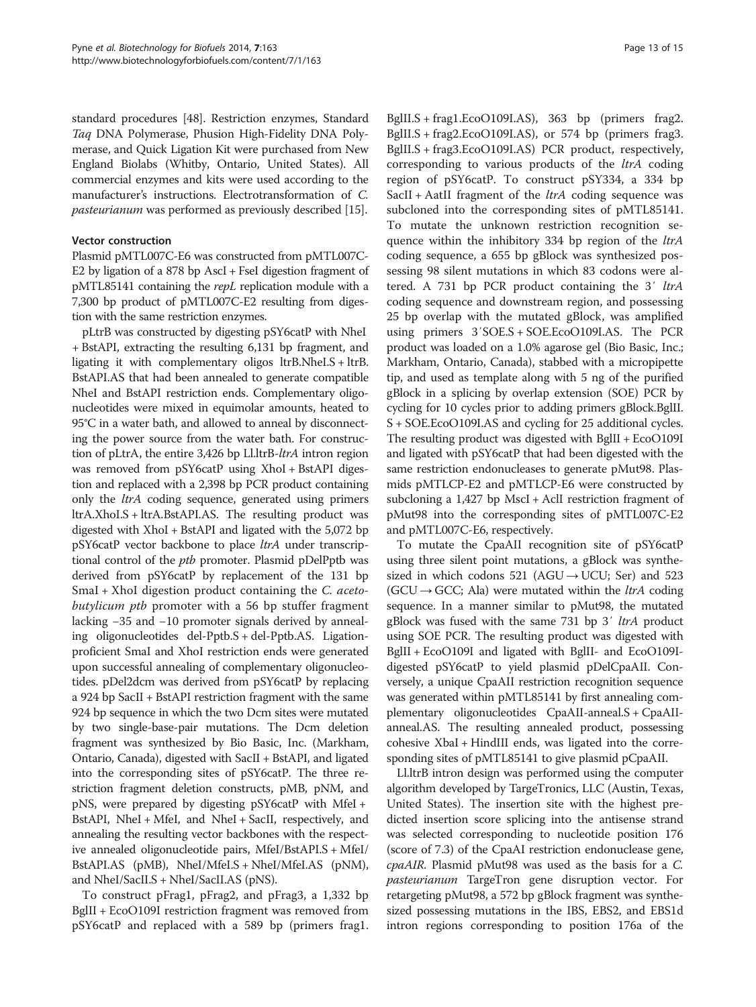standard procedures [\[48\]](#page-14-0). Restriction enzymes, Standard Taq DNA Polymerase, Phusion High-Fidelity DNA Polymerase, and Quick Ligation Kit were purchased from New England Biolabs (Whitby, Ontario, United States). All commercial enzymes and kits were used according to the manufacturer's instructions. Electrotransformation of C. pasteurianum was performed as previously described [[15](#page-14-0)].

#### Vector construction

Plasmid pMTL007C-E6 was constructed from pMTL007C-E2 by ligation of a 878 bp AscI + FseI digestion fragment of pMTL85141 containing the repL replication module with a 7,300 bp product of pMTL007C-E2 resulting from digestion with the same restriction enzymes.

pLtrB was constructed by digesting pSY6catP with NheI + BstAPI, extracting the resulting 6,131 bp fragment, and ligating it with complementary oligos ltrB.NheI.S + ltrB. BstAPI.AS that had been annealed to generate compatible NheI and BstAPI restriction ends. Complementary oligonucleotides were mixed in equimolar amounts, heated to 95°C in a water bath, and allowed to anneal by disconnecting the power source from the water bath. For construction of pLtrA, the entire 3,426 bp Ll.ltrB-ltrA intron region was removed from pSY6catP using XhoI + BstAPI digestion and replaced with a 2,398 bp PCR product containing only the ltrA coding sequence, generated using primers ltrA.XhoI.S + ltrA.BstAPI.AS. The resulting product was digested with XhoI + BstAPI and ligated with the 5,072 bp pSY6catP vector backbone to place *ltrA* under transcriptional control of the ptb promoter. Plasmid pDelPptb was derived from pSY6catP by replacement of the 131 bp SmaI + XhoI digestion product containing the C. acetobutylicum ptb promoter with a 56 bp stuffer fragment lacking −35 and −10 promoter signals derived by annealing oligonucleotides del-Pptb.S + del-Pptb.AS. Ligationproficient SmaI and XhoI restriction ends were generated upon successful annealing of complementary oligonucleotides. pDel2dcm was derived from pSY6catP by replacing a 924 bp SacII + BstAPI restriction fragment with the same 924 bp sequence in which the two Dcm sites were mutated by two single-base-pair mutations. The Dcm deletion fragment was synthesized by Bio Basic, Inc. (Markham, Ontario, Canada), digested with SacII + BstAPI, and ligated into the corresponding sites of pSY6catP. The three restriction fragment deletion constructs, pMB, pNM, and pNS, were prepared by digesting pSY6catP with MfeI + BstAPI, NheI + MfeI, and NheI + SacII, respectively, and annealing the resulting vector backbones with the respective annealed oligonucleotide pairs, MfeI/BstAPI.S + MfeI/ BstAPI.AS (pMB), NheI/MfeI.S + NheI/MfeI.AS (pNM), and NheI/SacII.S + NheI/SacII.AS (pNS).

To construct pFrag1, pFrag2, and pFrag3, a 1,332 bp BglII + EcoO109I restriction fragment was removed from pSY6catP and replaced with a 589 bp (primers frag1.

BglII.S + frag1.EcoO109I.AS), 363 bp (primers frag2. BglII.S + frag2.EcoO109I.AS), or 574 bp (primers frag3. BglII.S + frag3.EcoO109I.AS) PCR product, respectively, corresponding to various products of the ltrA coding region of pSY6catP. To construct pSY334, a 334 bp SacII + AatII fragment of the  $ltrA$  coding sequence was subcloned into the corresponding sites of pMTL85141. To mutate the unknown restriction recognition sequence within the inhibitory 334 bp region of the *ltrA* coding sequence, a 655 bp gBlock was synthesized possessing 98 silent mutations in which 83 codons were altered. A 731 bp PCR product containing the 3' ltrA coding sequence and downstream region, and possessing 25 bp overlap with the mutated gBlock, was amplified using primers 3′SOE.S + SOE.EcoO109I.AS. The PCR product was loaded on a 1.0% agarose gel (Bio Basic, Inc.; Markham, Ontario, Canada), stabbed with a micropipette tip, and used as template along with 5 ng of the purified gBlock in a splicing by overlap extension (SOE) PCR by cycling for 10 cycles prior to adding primers gBlock.BglII. S + SOE.EcoO109I.AS and cycling for 25 additional cycles. The resulting product was digested with BglII + EcoO109I and ligated with pSY6catP that had been digested with the same restriction endonucleases to generate pMut98. Plasmids pMTLCP-E2 and pMTLCP-E6 were constructed by subcloning a 1,427 bp MscI + AclI restriction fragment of pMut98 into the corresponding sites of pMTL007C-E2 and pMTL007C-E6, respectively.

To mutate the CpaAII recognition site of pSY6catP using three silent point mutations, a gBlock was synthesized in which codons 521 (AGU  $\rightarrow$  UCU; Ser) and 523  $(GCU \rightarrow GCC;$  Ala) were mutated within the *ltrA* coding sequence. In a manner similar to pMut98, the mutated gBlock was fused with the same 731 bp 3' ltrA product using SOE PCR. The resulting product was digested with BglII + EcoO109I and ligated with BglII- and EcoO109Idigested pSY6catP to yield plasmid pDelCpaAII. Conversely, a unique CpaAII restriction recognition sequence was generated within pMTL85141 by first annealing complementary oligonucleotides CpaAII-anneal.S + CpaAIIanneal.AS. The resulting annealed product, possessing cohesive XbaI + HindIII ends, was ligated into the corresponding sites of pMTL85141 to give plasmid pCpaAII.

Ll.ltrB intron design was performed using the computer algorithm developed by TargeTronics, LLC (Austin, Texas, United States). The insertion site with the highest predicted insertion score splicing into the antisense strand was selected corresponding to nucleotide position 176 (score of 7.3) of the CpaAI restriction endonuclease gene, cpaAIR. Plasmid pMut98 was used as the basis for a C. pasteurianum TargeTron gene disruption vector. For retargeting pMut98, a 572 bp gBlock fragment was synthesized possessing mutations in the IBS, EBS2, and EBS1d intron regions corresponding to position 176a of the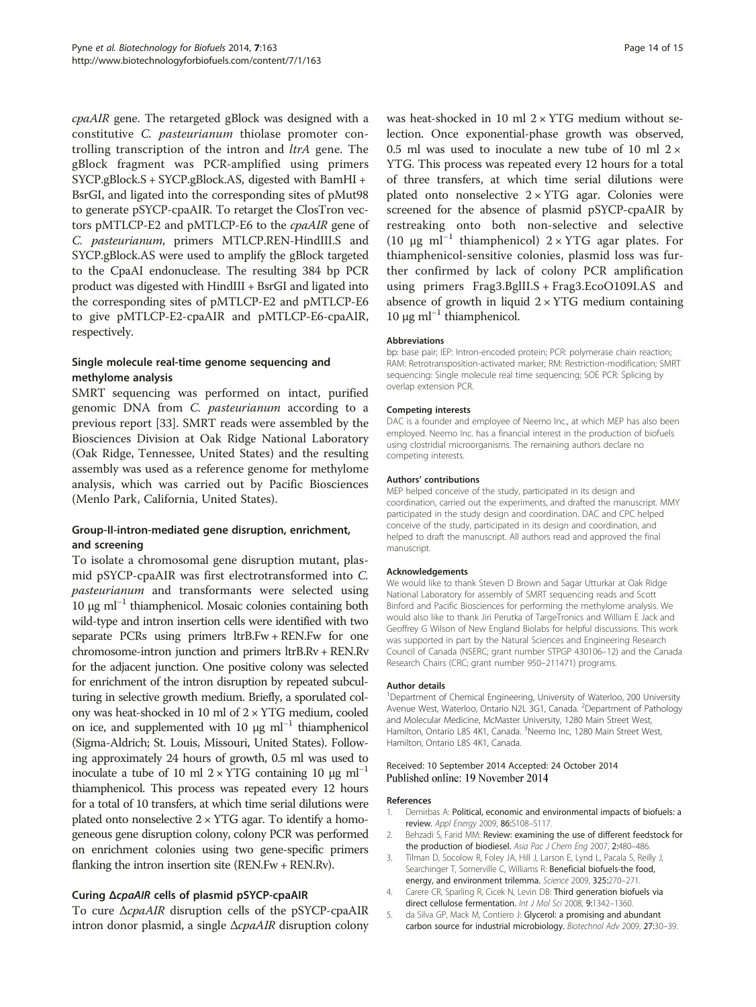<span id="page-13-0"></span>cpaAIR gene. The retargeted gBlock was designed with a constitutive C. pasteurianum thiolase promoter controlling transcription of the intron and *ltrA* gene. The gBlock fragment was PCR-amplified using primers SYCP.gBlock.S + SYCP.gBlock.AS, digested with BamHI + BsrGI, and ligated into the corresponding sites of pMut98 to generate pSYCP-cpaAIR. To retarget the ClosTron vectors pMTLCP-E2 and pMTLCP-E6 to the cpaAIR gene of C. pasteurianum, primers MTLCP.REN-HindIII.S and SYCP.gBlock.AS were used to amplify the gBlock targeted to the CpaAI endonuclease. The resulting 384 bp PCR product was digested with HindIII + BsrGI and ligated into the corresponding sites of pMTLCP-E2 and pMTLCP-E6 to give pMTLCP-E2-cpaAIR and pMTLCP-E6-cpaAIR, respectively.

#### Single molecule real-time genome sequencing and methylome analysis

SMRT sequencing was performed on intact, purified genomic DNA from C. pasteurianum according to a previous report [[33\]](#page-14-0). SMRT reads were assembled by the Biosciences Division at Oak Ridge National Laboratory (Oak Ridge, Tennessee, United States) and the resulting assembly was used as a reference genome for methylome analysis, which was carried out by Pacific Biosciences (Menlo Park, California, United States).

### Group-II-intron-mediated gene disruption, enrichment, and screening

To isolate a chromosomal gene disruption mutant, plasmid pSYCP-cpaAIR was first electrotransformed into C. pasteurianum and transformants were selected using 10 μg ml−<sup>1</sup> thiamphenicol. Mosaic colonies containing both wild-type and intron insertion cells were identified with two separate PCRs using primers ltrB.Fw + REN.Fw for one chromosome-intron junction and primers ltrB.Rv + REN.Rv for the adjacent junction. One positive colony was selected for enrichment of the intron disruption by repeated subculturing in selective growth medium. Briefly, a sporulated colony was heat-shocked in 10 ml of  $2 \times YTG$  medium, cooled on ice, and supplemented with 10  $\mu$ g ml<sup>-1</sup> thiamphenicol (Sigma-Aldrich; St. Louis, Missouri, United States). Following approximately 24 hours of growth, 0.5 ml was used to inoculate a tube of 10 ml 2 × YTG containing 10 μg ml<sup>-1</sup> thiamphenicol. This process was repeated every 12 hours for a total of 10 transfers, at which time serial dilutions were plated onto nonselective  $2 \times YTG$  agar. To identify a homogeneous gene disruption colony, colony PCR was performed on enrichment colonies using two gene-specific primers flanking the intron insertion site (REN.Fw + REN.Rv).

#### Curing ΔcpaAIR cells of plasmid pSYCP-cpaAIR

To cure ΔcpaAIR disruption cells of the pSYCP-cpaAIR intron donor plasmid, a single ΔcpaAIR disruption colony

was heat-shocked in 10 ml  $2 \times YTG$  medium without selection. Once exponential-phase growth was observed, 0.5 ml was used to inoculate a new tube of 10 ml  $2 \times$ YTG. This process was repeated every 12 hours for a total of three transfers, at which time serial dilutions were plated onto nonselective  $2 \times YTG$  agar. Colonies were screened for the absence of plasmid pSYCP-cpaAIR by restreaking onto both non-selective and selective (10 μg ml<sup>-1</sup> thiamphenicol)  $2 \times YTG$  agar plates. For thiamphenicol-sensitive colonies, plasmid loss was further confirmed by lack of colony PCR amplification using primers Frag3.BglII.S + Frag3.EcoO109I.AS and absence of growth in liquid  $2 \times YTG$  medium containing 10 μg m $l^{-1}$  thiamphenicol.

#### Abbreviations

bp: base pair; IEP: Intron-encoded protein; PCR: polymerase chain reaction; RAM: Retrotransposition-activated marker; RM: Restriction-modification; SMRT sequencing: Single molecule real time sequencing; SOE PCR: Splicing by overlap extension PCR.

#### Competing interests

DAC is a founder and employee of Neemo Inc., at which MEP has also been employed. Neemo Inc. has a financial interest in the production of biofuels using clostridial microorganisms. The remaining authors declare no competing interests.

#### Authors' contributions

MEP helped conceive of the study, participated in its design and coordination, carried out the experiments, and drafted the manuscript. MMY participated in the study design and coordination. DAC and CPC helped conceive of the study, participated in its design and coordination, and helped to draft the manuscript. All authors read and approved the final manuscript.

#### Acknowledgements

We would like to thank Steven D Brown and Sagar Utturkar at Oak Ridge National Laboratory for assembly of SMRT sequencing reads and Scott Binford and Pacific Biosciences for performing the methylome analysis. We would also like to thank Jiri Perutka of TargeTronics and William E Jack and Geoffrey G Wilson of New England Biolabs for helpful discussions. This work was supported in part by the Natural Sciences and Engineering Research Council of Canada (NSERC; grant number STPGP 430106–12) and the Canada Research Chairs (CRC; grant number 950–211471) programs.

#### Author details

<sup>1</sup>Department of Chemical Engineering, University of Waterloo, 200 University Avenue West, Waterloo, Ontario N2L 3G1, Canada. <sup>2</sup> Department of Pathology and Molecular Medicine, McMaster University, 1280 Main Street West, Hamilton, Ontario L8S 4K1, Canada. <sup>3</sup>Neemo Inc, 1280 Main Street West Hamilton, Ontario L8S 4K1, Canada.

#### Received: 10 September 2014 Accepted: 24 October 2014 Published online: 19 November 2014

#### References

- 1. Demirbas A: Political, economic and environmental impacts of biofuels: a review. Appl Energy 2009, 86:S108–S117.
- 2. Behzadi S, Farid MM: Review: examining the use of different feedstock for the production of biodiesel. Asia Pac J Chem Eng 2007, 2:480-486.
- 3. Tilman D, Socolow R, Foley JA, Hill J, Larson E, Lynd L, Pacala S, Reilly J, Searchinger T, Somerville C, Williams R: Beneficial biofuels-the food, energy, and environment trilemma. Science 2009, 325:270–271.
- 4. Carere CR, Sparling R, Cicek N, Levin DB: Third generation biofuels via direct cellulose fermentation. Int J Mol Sci 2008, 9:1342–1360.
- 5. da Silva GP, Mack M, Contiero J: Glycerol: a promising and abundant carbon source for industrial microbiology. Biotechnol Adv 2009, 27:30–39.